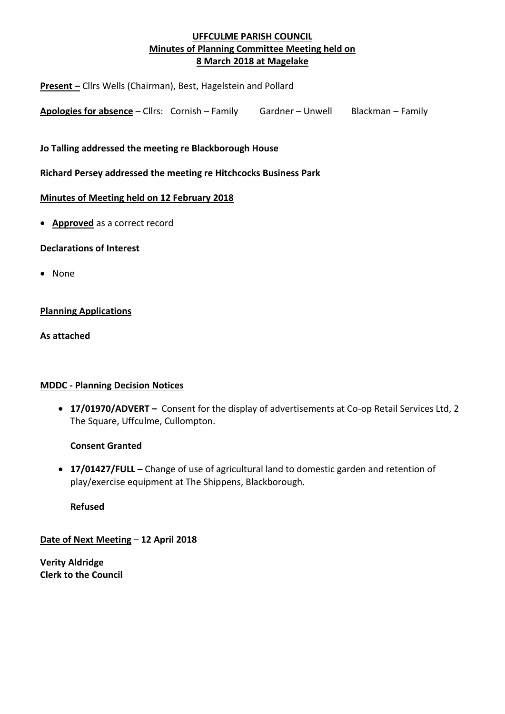# **UFFCULME PARISH COUNCIL Minutes of Planning Committee Meeting held on 8 March 2018 at Magelake**

**Present –** Cllrs Wells (Chairman), Best, Hagelstein and Pollard

**Apologies for absence** – Cllrs: Cornish – Family Gardner – Unwell Blackman – Family

**Jo Talling addressed the meeting re Blackborough House**

**Richard Persey addressed the meeting re Hitchcocks Business Park**

### **Minutes of Meeting held on 12 February 2018**

• **Approved** as a correct record

## **Declarations of Interest**

• None

## **Planning Applications**

**As attached**

## **MDDC - Planning Decision Notices**

• **17/01970/ADVERT –** Consent for the display of advertisements at Co-op Retail Services Ltd, 2 The Square, Uffculme, Cullompton.

## **Consent Granted**

• **17/01427/FULL –** Change of use of agricultural land to domestic garden and retention of play/exercise equipment at The Shippens, Blackborough.

**Refused**

**Date of Next Meeting** – **12 April 2018**

**Verity Aldridge Clerk to the Council**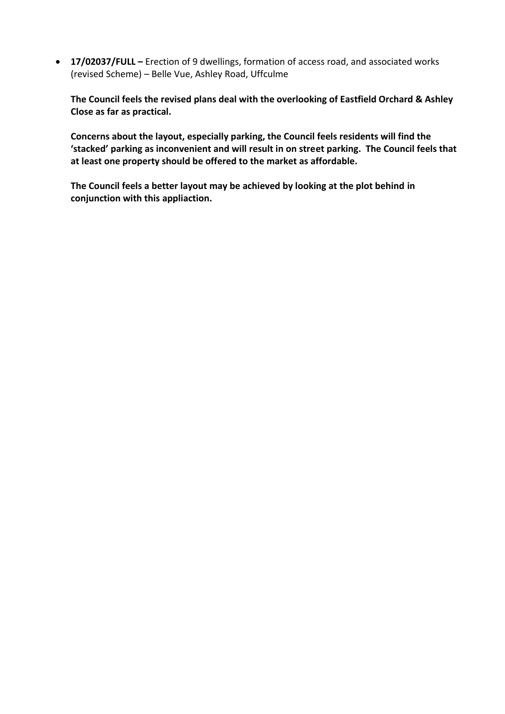• **17/02037/FULL –** Erection of 9 dwellings, formation of access road, and associated works (revised Scheme) – Belle Vue, Ashley Road, Uffculme

**The Council feels the revised plans deal with the overlooking of Eastfield Orchard & Ashley Close as far as practical.**

**Concerns about the layout, especially parking, the Council feels residents will find the 'stacked' parking as inconvenient and will result in on street parking. The Council feels that at least one property should be offered to the market as affordable.**

**The Council feels a better layout may be achieved by looking at the plot behind in conjunction with this appliaction.**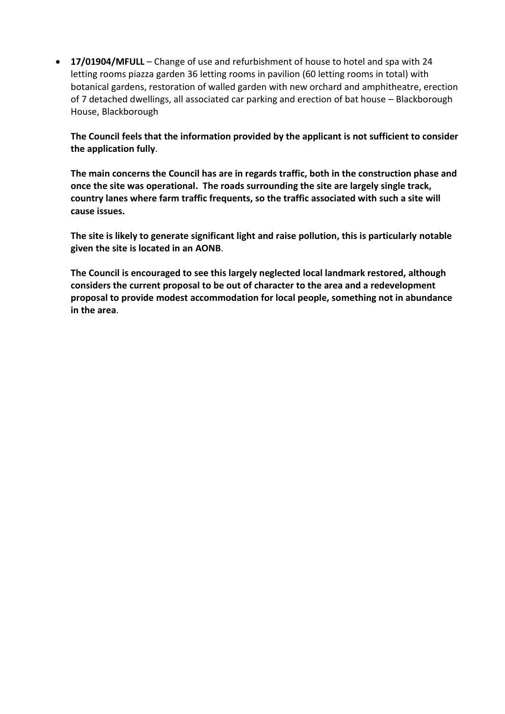• **17/01904/MFULL** – Change of use and refurbishment of house to hotel and spa with 24 letting rooms piazza garden 36 letting rooms in pavilion (60 letting rooms in total) with botanical gardens, restoration of walled garden with new orchard and amphitheatre, erection of 7 detached dwellings, all associated car parking and erection of bat house – Blackborough House, Blackborough

**The Council feels that the information provided by the applicant is not sufficient to consider the application fully**.

**The main concerns the Council has are in regards traffic, both in the construction phase and once the site was operational. The roads surrounding the site are largely single track, country lanes where farm traffic frequents, so the traffic associated with such a site will cause issues.**

**The site is likely to generate significant light and raise pollution, this is particularly notable given the site is located in an AONB**.

**The Council is encouraged to see this largely neglected local landmark restored, although considers the current proposal to be out of character to the area and a redevelopment proposal to provide modest accommodation for local people, something not in abundance in the area**.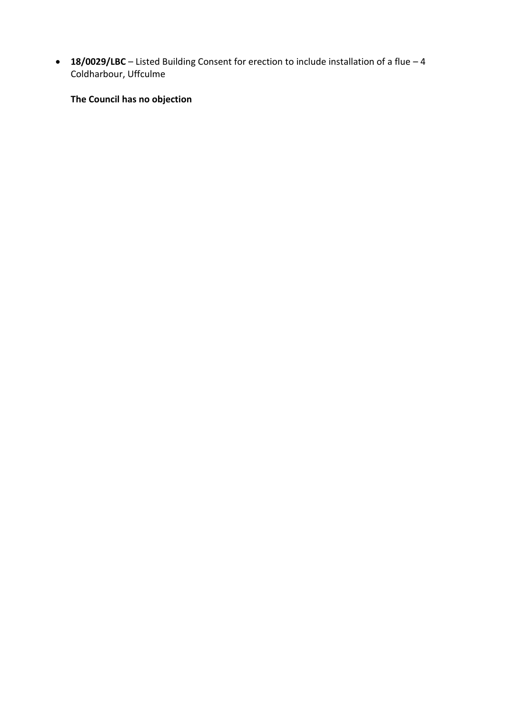• **18/0029/LBC** – Listed Building Consent for erection to include installation of a flue – 4 Coldharbour, Uffculme

**The Council has no objection**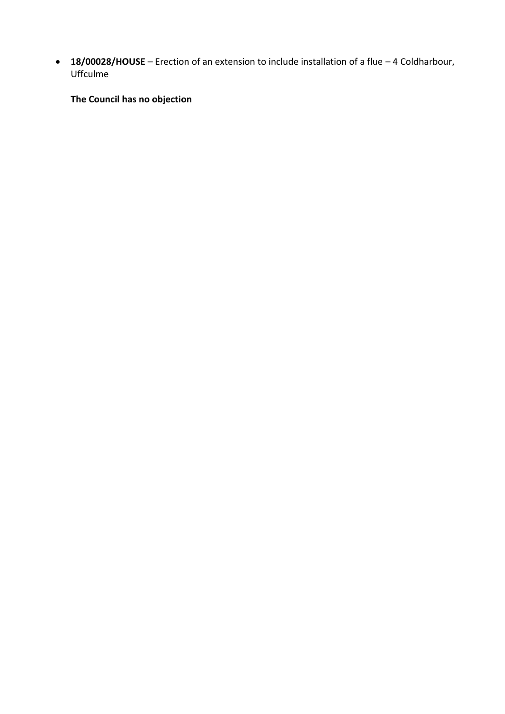• **18/00028/HOUSE** – Erection of an extension to include installation of a flue – 4 Coldharbour, Uffculme

**The Council has no objection**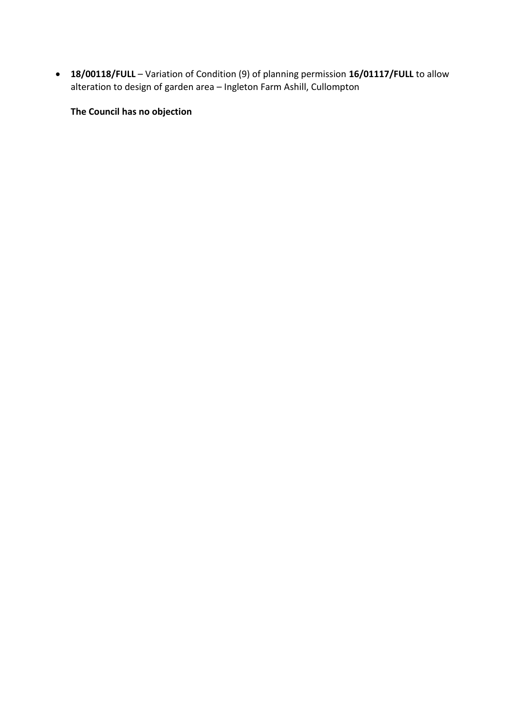• **18/00118/FULL** – Variation of Condition (9) of planning permission **16/01117/FULL** to allow alteration to design of garden area – Ingleton Farm Ashill, Cullompton

**The Council has no objection**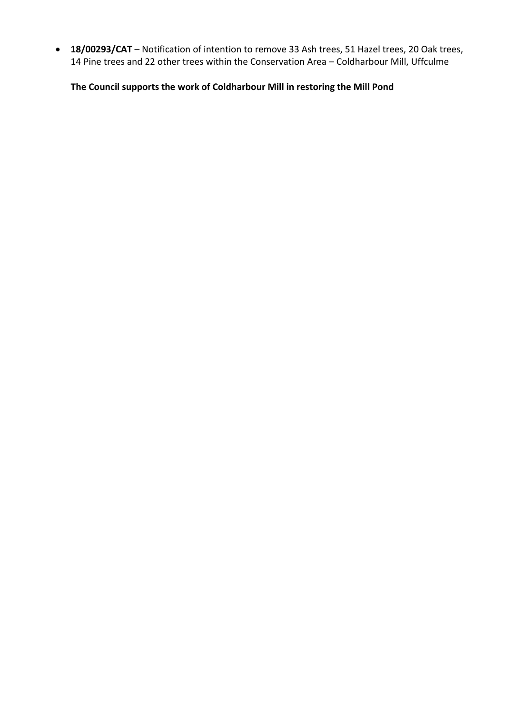• **18/00293/CAT** – Notification of intention to remove 33 Ash trees, 51 Hazel trees, 20 Oak trees, 14 Pine trees and 22 other trees within the Conservation Area – Coldharbour Mill, Uffculme

**The Council supports the work of Coldharbour Mill in restoring the Mill Pond**